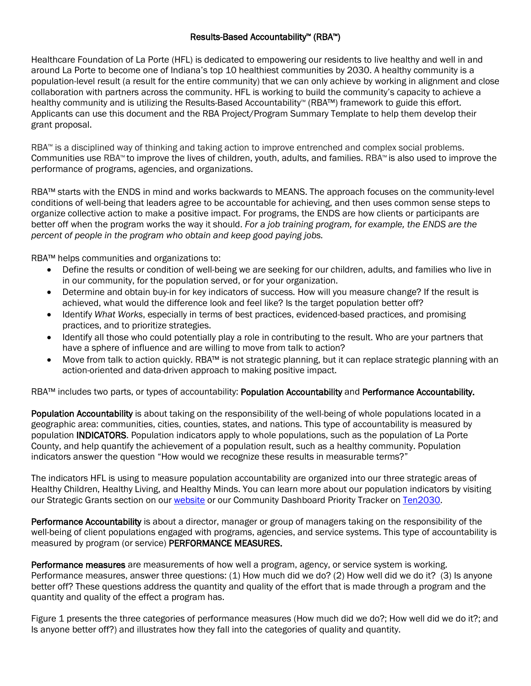## Results-Based Accountability™ (RBA™)

Healthcare Foundation of La Porte (HFL) is dedicated to empowering our residents to live healthy and well in and around La Porte to become one of Indiana's top 10 healthiest communities by 2030. A healthy community is a population-level result (a result for the entire community) that we can only achieve by working in alignment and close collaboration with partners across the community. HFL is working to build the community's capacity to achieve a healthy community and is utilizing the Results-Based Accountability™ (RBA™) framework to guide this effort. Applicants can use this document and the RBA Project/Program Summary Template to help them develop their grant proposal.

RBA™ is a disciplined way of thinking and taking action to improve entrenched and complex social problems. Communities use RBA™ to improve the lives of children, youth, adults, and families. RBA™ is also used to improve the performance of programs, agencies, and organizations.

RBA™ starts with the ENDS in mind and works backwards to MEANS. The approach focuses on the community-level conditions of well-being that leaders agree to be accountable for achieving, and then uses common sense steps to organize collective action to make a positive impact. For programs, the ENDS are how clients or participants are better off when the program works the way it should. *For a job training program, for example, the ENDS are the percent of people in the program who obtain and keep good paying jobs.*

RBA™ helps communities and organizations to:

- Define the results or condition of well-being we are seeking for our children, adults, and families who live in in our community, for the population served, or for your organization.
- Determine and obtain buy-in for key indicators of success*.* How will you measure change? If the result is achieved, what would the difference look and feel like? Is the target population better off?
- Identify *What Works*, especially in terms of best practices, evidenced-based practices, and promising practices, and to prioritize strategies.
- Identify all those who could potentially play a role in contributing to the result. Who are your partners that have a sphere of influence and are willing to move from talk to action?
- Move from talk to action quickly. RBA™ is not strategic planning, but it can replace strategic planning with an action-oriented and data-driven approach to making positive impact.

RBA™ includes two parts, or types of accountability: Population Accountability and Performance Accountability.

Population Accountability is about taking on the responsibility of the well-being of whole populations located in a geographic area: communities, cities, counties, states, and nations. This type of accountability is measured by population INDICATORS. Population indicators apply to whole populations, such as the population of La Porte County, and help quantify the achievement of a population result, such as a healthy community. Population indicators answer the question "How would we recognize these results in measurable terms?"

The indicators HFL is using to measure population accountability are organized into our three strategic areas of Healthy Children, Healthy Living, and Healthy Minds. You can learn more about our population indicators by visiting our Strategic Grants section on ou[r website](https://hflaporte.org/strategic-grants/) or our Community Dashboard Priority Tracker on [Ten2030.](http://www.ten2030.org/indicators/index/dashboard?id=83016962795079800)

Performance Accountability is about a director, manager or group of managers taking on the responsibility of the well-being of client populations engaged with programs, agencies, and service systems. This type of accountability is measured by program (or service) PERFORMANCE MEASURES.

Performance measures are measurements of how well a program, agency, or service system is working. Performance measures, answer three questions: (1) How much did we do? (2) How well did we do it? (3) Is anyone better off? These questions address the quantity and quality of the effort that is made through a program and the quantity and quality of the effect a program has.

Figure 1 presents the three categories of performance measures (How much did we do?; How well did we do it?; and Is anyone better off?) and illustrates how they fall into the categories of quality and quantity.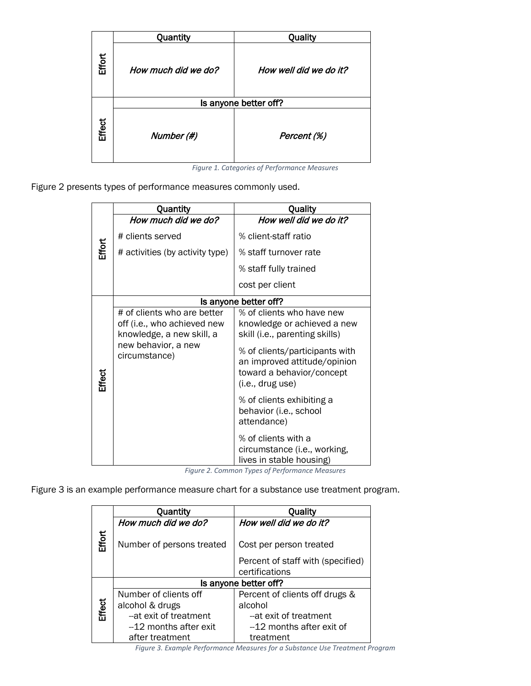|               | Quantity            | Quality                |
|---------------|---------------------|------------------------|
| Effort        | How much did we do? | How well did we do it? |
|               |                     | Is anyone better off?  |
| <b>Effect</b> | Number (#)          | Percent (%)            |

*Figure 1. Categories of Performance Measures*

Figure 2 presents types of performance measures commonly used.

|               | Quantity                                                                                | Quality                                                                                                         |  |
|---------------|-----------------------------------------------------------------------------------------|-----------------------------------------------------------------------------------------------------------------|--|
| Effort        | How much did we do?                                                                     | How well did we do it?                                                                                          |  |
|               | # clients served                                                                        | % client-staff ratio                                                                                            |  |
|               | # activities (by activity type)                                                         | % staff turnover rate                                                                                           |  |
|               |                                                                                         | % staff fully trained                                                                                           |  |
|               |                                                                                         | cost per client                                                                                                 |  |
|               | Is anyone better off?                                                                   |                                                                                                                 |  |
| <b>Effect</b> | # of clients who are better<br>off (i.e., who achieved new<br>knowledge, a new skill, a | % of clients who have new<br>knowledge or achieved a new<br>skill (i.e., parenting skills)                      |  |
|               | new behavior, a new<br>circumstance)                                                    | % of clients/participants with<br>an improved attitude/opinion<br>toward a behavior/concept<br>(i.e., drug use) |  |
|               |                                                                                         | % of clients exhibiting a<br>behavior (i.e., school<br>attendance)                                              |  |
|               |                                                                                         | % of clients with a<br>circumstance (i.e., working,<br>lives in stable housing)                                 |  |

*Figure 2. Common Types of Performance Measures*

Figure 3 is an example performance measure chart for a substance use treatment program.

|               | Quantity                  | Quality                           |  |
|---------------|---------------------------|-----------------------------------|--|
|               | How much did we do?       | How well did we do it?            |  |
| Effort        | Number of persons treated | Cost per person treated           |  |
|               |                           | Percent of staff with (specified) |  |
|               |                           | certifications                    |  |
|               | Is anyone better off?     |                                   |  |
|               | Number of clients off     | Percent of clients off drugs &    |  |
| <b>Effect</b> | alcohol & drugs           | alcohol                           |  |
|               | -- at exit of treatment   | --at exit of treatment            |  |
|               | -12 months after exit     | --12 months after exit of         |  |
|               | after treatment           | treatment                         |  |